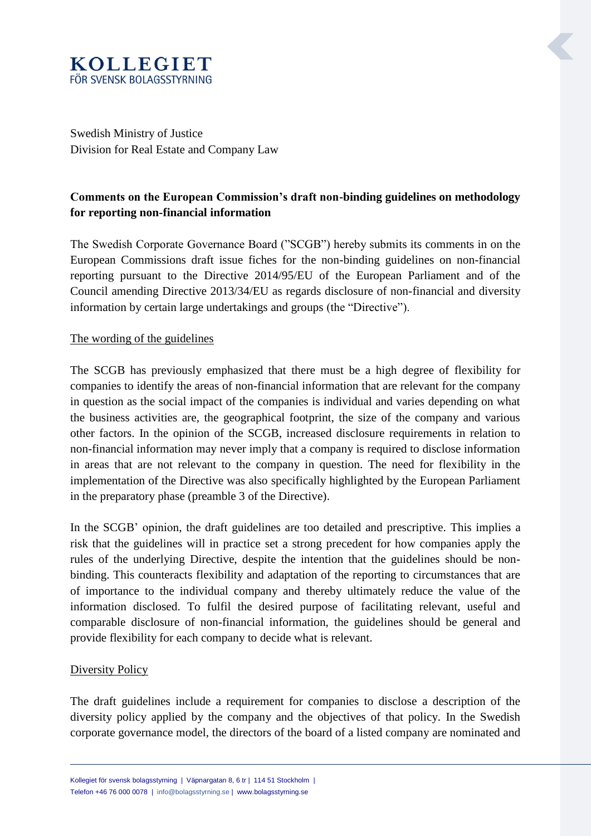# **KOLLEGIET** FÖR SVENSK BOLAGSSTYRNING

Swedish Ministry of Justice Division for Real Estate and Company Law

### **Comments on the European Commission's draft non-binding guidelines on methodology for reporting non-financial information**

The Swedish Corporate Governance Board ("SCGB") hereby submits its comments in on the European Commissions draft issue fiches for the non-binding guidelines on non-financial reporting pursuant to the Directive 2014/95/EU of the European Parliament and of the Council amending Directive 2013/34/EU as regards disclosure of non-financial and diversity information by certain large undertakings and groups (the "Directive").

### The wording of the guidelines

The SCGB has previously emphasized that there must be a high degree of flexibility for companies to identify the areas of non-financial information that are relevant for the company in question as the social impact of the companies is individual and varies depending on what the business activities are, the geographical footprint, the size of the company and various other factors. In the opinion of the SCGB, increased disclosure requirements in relation to non-financial information may never imply that a company is required to disclose information in areas that are not relevant to the company in question. The need for flexibility in the implementation of the Directive was also specifically highlighted by the European Parliament in the preparatory phase (preamble 3 of the Directive).

In the SCGB' opinion, the draft guidelines are too detailed and prescriptive. This implies a risk that the guidelines will in practice set a strong precedent for how companies apply the rules of the underlying Directive, despite the intention that the guidelines should be nonbinding. This counteracts flexibility and adaptation of the reporting to circumstances that are of importance to the individual company and thereby ultimately reduce the value of the information disclosed. To fulfil the desired purpose of facilitating relevant, useful and comparable disclosure of non-financial information, the guidelines should be general and provide flexibility for each company to decide what is relevant.

### Diversity Policy

The draft guidelines include a requirement for companies to disclose a description of the diversity policy applied by the company and the objectives of that policy. In the Swedish corporate governance model, the directors of the board of a listed company are nominated and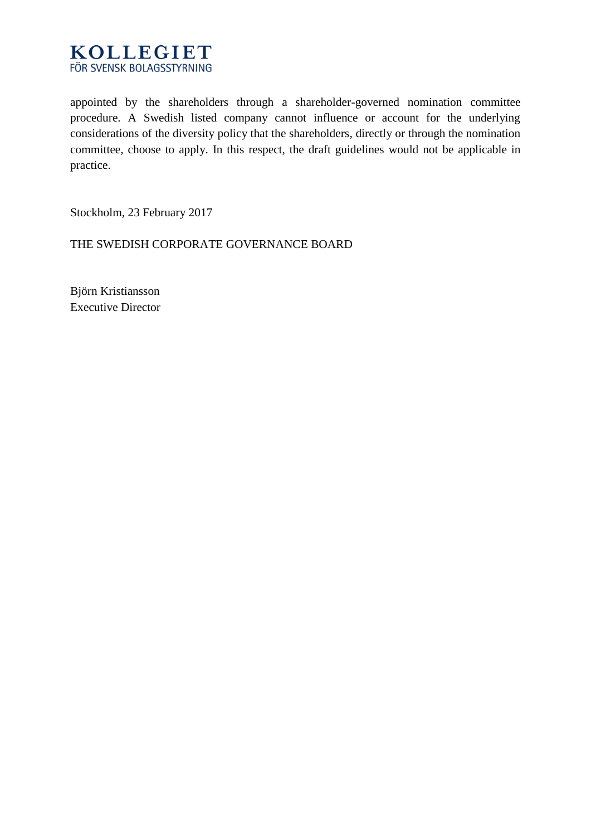

appointed by the shareholders through a shareholder-governed nomination committee procedure. A Swedish listed company cannot influence or account for the underlying considerations of the diversity policy that the shareholders, directly or through the nomination committee, choose to apply. In this respect, the draft guidelines would not be applicable in practice.

Stockholm, 23 February 2017

THE SWEDISH CORPORATE GOVERNANCE BOARD

Björn Kristiansson Executive Director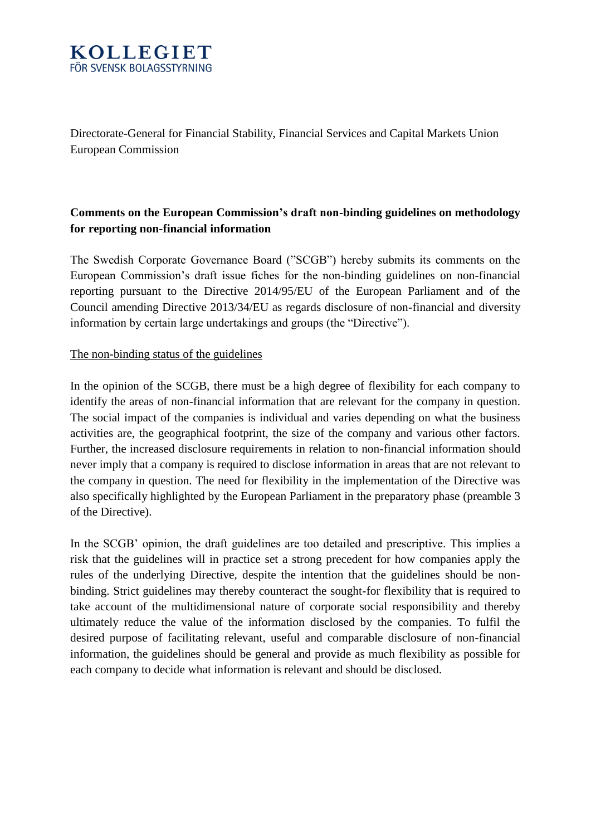

Directorate-General for Financial Stability, Financial Services and Capital Markets Union European Commission

## **Comments on the European Commission's draft non-binding guidelines on methodology for reporting non-financial information**

The Swedish Corporate Governance Board ("SCGB") hereby submits its comments on the European Commission's draft issue fiches for the non-binding guidelines on non-financial reporting pursuant to the Directive 2014/95/EU of the European Parliament and of the Council amending Directive 2013/34/EU as regards disclosure of non-financial and diversity information by certain large undertakings and groups (the "Directive").

### The non-binding status of the guidelines

In the opinion of the SCGB, there must be a high degree of flexibility for each company to identify the areas of non-financial information that are relevant for the company in question. The social impact of the companies is individual and varies depending on what the business activities are, the geographical footprint, the size of the company and various other factors. Further, the increased disclosure requirements in relation to non-financial information should never imply that a company is required to disclose information in areas that are not relevant to the company in question. The need for flexibility in the implementation of the Directive was also specifically highlighted by the European Parliament in the preparatory phase (preamble 3 of the Directive).

In the SCGB' opinion, the draft guidelines are too detailed and prescriptive. This implies a risk that the guidelines will in practice set a strong precedent for how companies apply the rules of the underlying Directive, despite the intention that the guidelines should be nonbinding. Strict guidelines may thereby counteract the sought-for flexibility that is required to take account of the multidimensional nature of corporate social responsibility and thereby ultimately reduce the value of the information disclosed by the companies. To fulfil the desired purpose of facilitating relevant, useful and comparable disclosure of non-financial information, the guidelines should be general and provide as much flexibility as possible for each company to decide what information is relevant and should be disclosed.